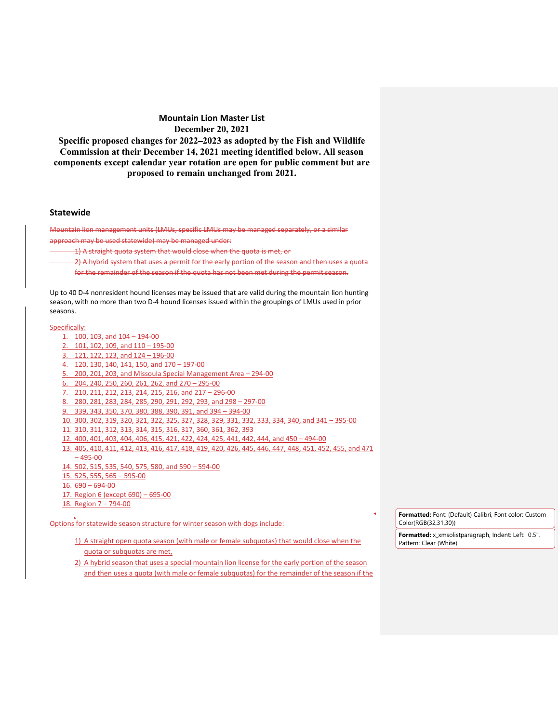**Specific proposed changes for 2022–2023 as adopted by the Fish and Wildlife Commission at their December 14, 2021 meeting identified below. All season components except calendar year rotation are open for public comment but are proposed to remain unchanged from 2021.**

#### **Statewide**

Mountain lion management units (LMUs, specific LMUs may be managed separately, or a similar approach may be used statewide) may be managed under:

1) A straight quota system that would close when the quota is met, or

2) A hybrid system that uses a permit for the early portion of the season and then uses a quota for the remainder of the season if the quota has not been met during the permit season.

Up to 40 D-4 nonresident hound licenses may be issued that are valid during the mountain lion hunting season, with no more than two D-4 hound licenses issued within the groupings of LMUs used in prior seasons.

#### Specifically:

| 1. 100, 103, and $104 - 194 - 00$                                                                     |
|-------------------------------------------------------------------------------------------------------|
| 2. 101, 102, 109, and $110 - 195 - 00$                                                                |
| 3. 121, 122, 123, and $124 - 196 - 00$                                                                |
| 4. 120, 130, 140, 141, 150, and 170 - 197-00                                                          |
| 5. 200, 201, 203, and Missoula Special Management Area – 294-00                                       |
| 6. 204, 240, 250, 260, 261, 262, and $270 - 295 - 00$                                                 |
| 7. 210, 211, 212, 213, 214, 215, 216, and 217 - 296-00                                                |
| 8. 280, 281, 283, 284, 285, 290, 291, 292, 293, and 298 - 297-00                                      |
| 9. 339, 343, 350, 370, 380, 388, 390, 391, and 394 - 394-00                                           |
| 10. 300, 302, 319, 320, 321, 322, 325, 327, 328, 329, 331, 332, 333, 334, 340, and 341 - 395-00       |
| 11. 310, 311, 312, 313, 314, 315, 316, 317, 360, 361, 362, 393                                        |
| 12. 400, 401, 403, 404, 406, 415, 421, 422, 424, 425, 441, 442, 444, and 450 - 494-00                 |
| 13. 405, 410, 411, 412, 413, 416, 417, 418, 419, 420, 426, 445, 446, 447, 448, 451, 452, 455, and 471 |
| $-495-00$                                                                                             |
| 14. 502, 515, 535, 540, 575, 580, and 590 - 594-00                                                    |
| $15.525,555,565-595-00$                                                                               |
| $16.690 - 694 - 00$                                                                                   |
| 17. Region 6 (except 690) – 695-00                                                                    |
| 18. Region $7 - 794 - 00$                                                                             |

Options for statewide season structure for winter season with dogs include:

- 1) A straight open quota season (with male or female subquotas) that would close when the quota or subquotas are met,
- 2) A hybrid season that uses a special mountain lion license for the early portion of the season and then uses a quota (with male or female subquotas) for the remainder of the season if the

**Formatted:** Font: (Default) Calibri, Font color: Custom Color(RGB(32,31,30))

**Formatted:** x\_xmsolistparagraph, Indent: Left: 0.5", Pattern: Clear (White)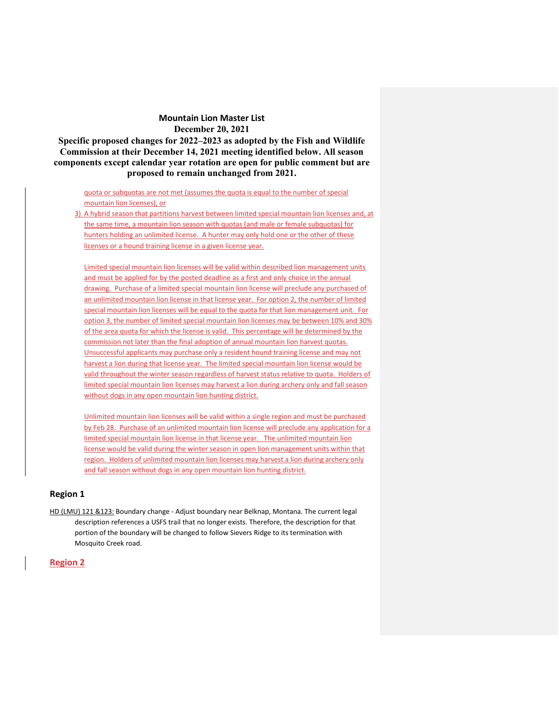**Specific proposed changes for 2022–2023 as adopted by the Fish and Wildlife Commission at their December 14, 2021 meeting identified below. All season components except calendar year rotation are open for public comment but are proposed to remain unchanged from 2021.**

quota or subquotas are not met (assumes the quota is equal to the number of special mountain lion licenses), or

3) A hybrid season that partitions harvest between limited special mountain lion licenses and, at the same time, a mountain lion season with quotas (and male or female subquotas) for hunters holding an unlimited license. A hunter may only hold one or the other of these licenses or a hound training license in a given license year.

Limited special mountain lion licenses will be valid within described lion management units and must be applied for by the posted deadline as a first and only choice in the annual drawing. Purchase of a limited special mountain lion license will preclude any purchased of an unlimited mountain lion license in that license year. For option 2, the number of limited special mountain lion licenses will be equal to the quota for that lion management unit. For option 3, the number of limited special mountain lion licenses may be between 10% and 30% of the area quota for which the license is valid. This percentage will be determined by the commission not later than the final adoption of annual mountain lion harvest quotas. Unsuccessful applicants may purchase only a resident hound training license and may not harvest a lion during that license year. The limited special mountain lion license would be valid throughout the winter season regardless of harvest status relative to quota. Holders of limited special mountain lion licenses may harvest a lion during archery only and fall season without dogs in any open mountain lion hunting district.

Unlimited mountain lion licenses will be valid within a single region and must be purchased by Feb 28. Purchase of an unlimited mountain lion license will preclude any application for a limited special mountain lion license in that license year. The unlimited mountain lion license would be valid during the winter season in open lion management units within that region. Holders of unlimited mountain lion licenses may harvest a lion during archery only and fall season without dogs in any open mountain lion hunting district.

### **Region 1**

HD (LMU) 121 &123: Boundary change - Adjust boundary near Belknap, Montana. The current legal description references a USFS trail that no longer exists. Therefore, the description for that portion of the boundary will be changed to follow Sievers Ridge to its termination with Mosquito Creek road.

### **Region 2**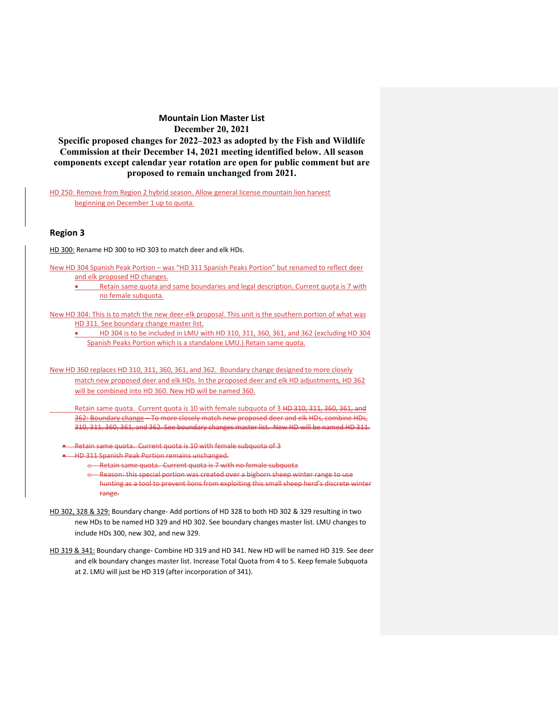**Specific proposed changes for 2022–2023 as adopted by the Fish and Wildlife Commission at their December 14, 2021 meeting identified below. All season components except calendar year rotation are open for public comment but are proposed to remain unchanged from 2021.**

HD 250: Remove from Region 2 hybrid season. Allow general license mountain lion harvest beginning on December 1 up to quota.

## **Region 3**

HD 300: Rename HD 300 to HD 303 to match deer and elk HDs.

New HD 304 Spanish Peak Portion – was "HD 311 Spanish Peaks Portion" but renamed to reflect deer and elk proposed HD changes.

• Retain same quota and same boundaries and legal description. Current quota is 7 with no female subquota.

New HD 304: This is to match the new deer-elk proposal. This unit is the southern portion of what was HD 311. See boundary change master list.

• HD 304 is to be included in LMU with HD 310, 311, 360, 361, and 362 (excluding HD 304 Spanish Peaks Portion which is a standalone LMU.) Retain same quota.

New HD 360 replaces HD 310, 311, 360, 361, and 362. Boundary change designed to more closely match new proposed deer and elk HDs. In the proposed deer and elk HD adjustments, HD 362 will be combined into HD 360. New HD will be named 360.

Retain same quota. Current quota is 10 with female subquota of 3.HD 310, 311, 360, 361, and 362: Boundary change - To more closely match new proposed deer and elk HDs, combine HDs, 310, 311, 360, 361, and 362. See boundary changes master list. New HD will be named HD 311.

- -Retain same quota. Current quota is 10 with female subquota of 3
- HD 311 Spanish Peak Portion remains unchanged.
	- o Retain same quota. Current quota is 7 with no female subquota

o Reason: this special portion was created over a bighorn sheep winter range to use hunting as a tool to prevent lions from exploiting this small sheep herd's discrete winter range.

- HD 302, 328 & 329: Boundary change- Add portions of HD 328 to both HD 302 & 329 resulting in two new HDs to be named HD 329 and HD 302. See boundary changes master list. LMU changes to include HDs 300, new 302, and new 329.
- HD 319 & 341: Boundary change- Combine HD 319 and HD 341. New HD will be named HD 319. See deer and elk boundary changes master list. Increase Total Quota from 4 to 5. Keep female Subquota at 2. LMU will just be HD 319 (after incorporation of 341).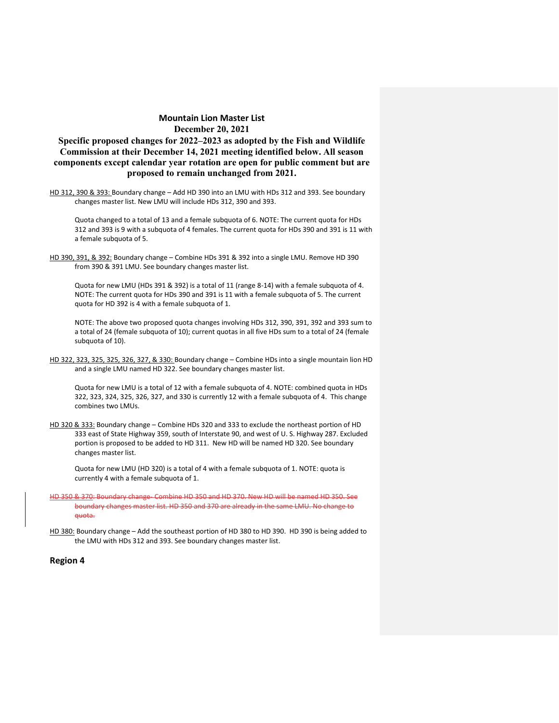# **Specific proposed changes for 2022–2023 as adopted by the Fish and Wildlife Commission at their December 14, 2021 meeting identified below. All season components except calendar year rotation are open for public comment but are proposed to remain unchanged from 2021.**

HD 312, 390 & 393: Boundary change - Add HD 390 into an LMU with HDs 312 and 393. See boundary changes master list. New LMU will include HDs 312, 390 and 393.

Quota changed to a total of 13 and a female subquota of 6. NOTE: The current quota for HDs 312 and 393 is 9 with a subquota of 4 females. The current quota for HDs 390 and 391 is 11 with a female subquota of 5.

HD 390, 391, & 392: Boundary change – Combine HDs 391 & 392 into a single LMU. Remove HD 390 from 390 & 391 LMU. See boundary changes master list.

Quota for new LMU (HDs 391 & 392) is a total of 11 (range 8-14) with a female subquota of 4. NOTE: The current quota for HDs 390 and 391 is 11 with a female subquota of 5. The current quota for HD 392 is 4 with a female subquota of 1.

NOTE: The above two proposed quota changes involving HDs 312, 390, 391, 392 and 393 sum to a total of 24 (female subquota of 10); current quotas in all five HDs sum to a total of 24 (female subquota of 10).

HD 322, 323, 325, 325, 326, 327, & 330: Boundary change – Combine HDs into a single mountain lion HD and a single LMU named HD 322. See boundary changes master list.

Quota for new LMU is a total of 12 with a female subquota of 4. NOTE: combined quota in HDs 322, 323, 324, 325, 326, 327, and 330 is currently 12 with a female subquota of 4. This change combines two LMUs.

HD 320 & 333: Boundary change - Combine HDs 320 and 333 to exclude the northeast portion of HD 333 east of State Highway 359, south of Interstate 90, and west of U. S. Highway 287. Excluded portion is proposed to be added to HD 311. New HD will be named HD 320. See boundary changes master list.

Quota for new LMU (HD 320) is a total of 4 with a female subquota of 1. NOTE: quota is currently 4 with a female subquota of 1.

- HD 350 & 370: Boundary change- Combine HD 350 and HD 370. New HD will be named HD 350. See boundary changes master list. HD 350 and 370 are already in the same LMU. No change to quota.
- HD 380: Boundary change Add the southeast portion of HD 380 to HD 390. HD 390 is being added to the LMU with HDs 312 and 393. See boundary changes master list.

#### **Region 4**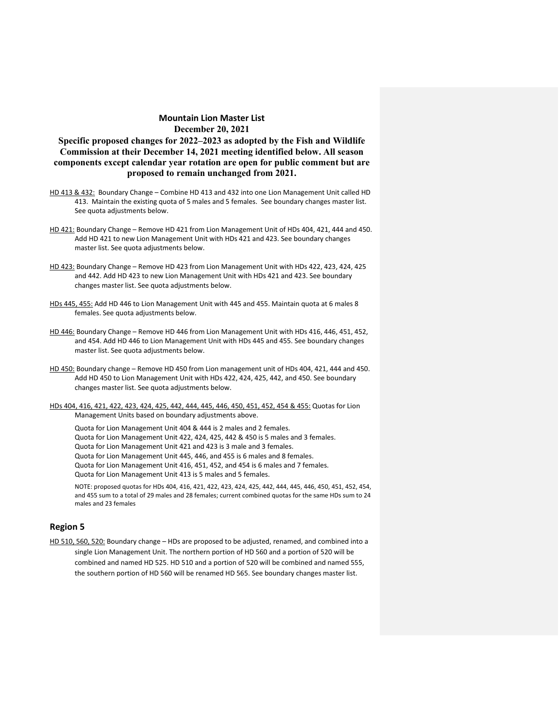**Specific proposed changes for 2022–2023 as adopted by the Fish and Wildlife Commission at their December 14, 2021 meeting identified below. All season components except calendar year rotation are open for public comment but are proposed to remain unchanged from 2021.**

- HD 413 & 432: Boundary Change Combine HD 413 and 432 into one Lion Management Unit called HD 413. Maintain the existing quota of 5 males and 5 females. See boundary changes master list. See quota adjustments below.
- HD 421: Boundary Change Remove HD 421 from Lion Management Unit of HDs 404, 421, 444 and 450. Add HD 421 to new Lion Management Unit with HDs 421 and 423. See boundary changes master list. See quota adjustments below.
- HD 423: Boundary Change Remove HD 423 from Lion Management Unit with HDs 422, 423, 424, 425 and 442. Add HD 423 to new Lion Management Unit with HDs 421 and 423. See boundary changes master list. See quota adjustments below.
- HDs 445, 455: Add HD 446 to Lion Management Unit with 445 and 455. Maintain quota at 6 males 8 females. See quota adjustments below.
- HD 446: Boundary Change Remove HD 446 from Lion Management Unit with HDs 416, 446, 451, 452, and 454. Add HD 446 to Lion Management Unit with HDs 445 and 455. See boundary changes master list. See quota adjustments below.
- HD 450: Boundary change Remove HD 450 from Lion management unit of HDs 404, 421, 444 and 450. Add HD 450 to Lion Management Unit with HDs 422, 424, 425, 442, and 450. See boundary changes master list. See quota adjustments below.
- HDs 404, 416, 421, 422, 423, 424, 425, 442, 444, 445, 446, 450, 451, 452, 454 & 455: Quotas for Lion Management Units based on boundary adjustments above.

Quota for Lion Management Unit 404 & 444 is 2 males and 2 females. Quota for Lion Management Unit 422, 424, 425, 442 & 450 is 5 males and 3 females. Quota for Lion Management Unit 421 and 423 is 3 male and 3 females. Quota for Lion Management Unit 445, 446, and 455 is 6 males and 8 females. Quota for Lion Management Unit 416, 451, 452, and 454 is 6 males and 7 females. Quota for Lion Management Unit 413 is 5 males and 5 females.

NOTE: proposed quotas for HDs 404, 416, 421, 422, 423, 424, 425, 442, 444, 445, 446, 450, 451, 452, 454, and 455 sum to a total of 29 males and 28 females; current combined quotas for the same HDs sum to 24 males and 23 females

# **Region 5**

HD 510, 560, 520: Boundary change - HDs are proposed to be adjusted, renamed, and combined into a single Lion Management Unit. The northern portion of HD 560 and a portion of 520 will be combined and named HD 525. HD 510 and a portion of 520 will be combined and named 555, the southern portion of HD 560 will be renamed HD 565. See boundary changes master list.